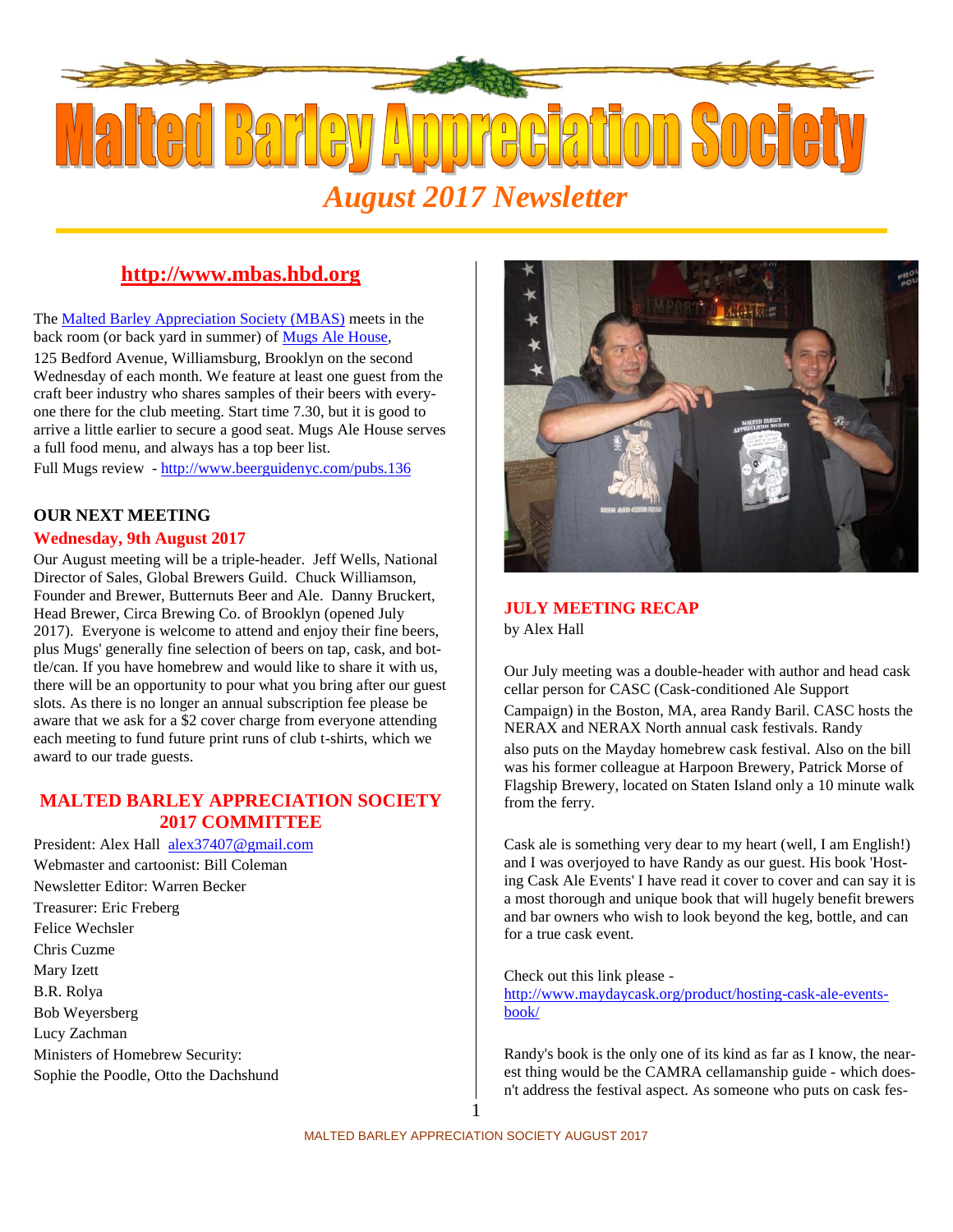

### **http://www.mbas.hbd.org**

The Malted Barley Appreciation Society (MBAS) meets in the back room (or back yard in summer) of Mugs Ale House,

125 Bedford Avenue, Williamsburg, Brooklyn on the second Wednesday of each month. We feature at least one guest from the craft beer industry who shares samples of their beers with everyone there for the club meeting. Start time 7.30, but it is good to arrive a little earlier to secure a good seat. Mugs Ale House serves a full food menu, and always has a top beer list.

Full Mugs review - http://www.beerguidenyc.com/pubs.136

#### **OUR NEXT MEETING**

#### **Wednesday, 9th August 2017**

Our August meeting will be a triple-header. Jeff Wells, National Director of Sales, Global Brewers Guild. Chuck Williamson, Founder and Brewer, Butternuts Beer and Ale. Danny Bruckert, Head Brewer, Circa Brewing Co. of Brooklyn (opened July 2017). Everyone is welcome to attend and enjoy their fine beers, plus Mugs' generally fine selection of beers on tap, cask, and bottle/can. If you have homebrew and would like to share it with us, there will be an opportunity to pour what you bring after our guest slots. As there is no longer an annual subscription fee please be aware that we ask for a \$2 cover charge from everyone attending each meeting to fund future print runs of club t-shirts, which we award to our trade guests.

#### **MALTED BARLEY APPRECIATION SOCIETY 2017 COMMITTEE**

President: Alex Hall alex37407@gmail.com Webmaster and cartoonist: Bill Coleman Newsletter Editor: Warren Becker Treasurer: Eric Freberg Felice Wechsler Chris Cuzme Mary Izett B.R. Rolya Bob Weyersberg Lucy Zachman Ministers of Homebrew Security: Sophie the Poodle, Otto the Dachshund



### **JULY MEETING RECAP** by Alex Hall

Our July meeting was a double-header with author and head cask cellar person for CASC (Cask-conditioned Ale Support Campaign) in the Boston, MA, area Randy Baril. CASC hosts the

NERAX and NERAX North annual cask festivals. Randy

also puts on the Mayday homebrew cask festival. Also on the bill was his former colleague at Harpoon Brewery, Patrick Morse of Flagship Brewery, located on Staten Island only a 10 minute walk from the ferry.

Cask ale is something very dear to my heart (well, I am English!) and I was overjoyed to have Randy as our guest. His book 'Hosting Cask Ale Events' I have read it cover to cover and can say it is a most thorough and unique book that will hugely benefit brewers and bar owners who wish to look beyond the keg, bottle, and can for a true cask event.

Check out this link please -

http://www.maydaycask.org/product/hosting-cask-ale-events book/

Randy's book is the only one of its kind as far as I know, the nearest thing would be the CAMRA cellamanship guide - which doesn't address the festival aspect. As someone who puts on cask fes-

1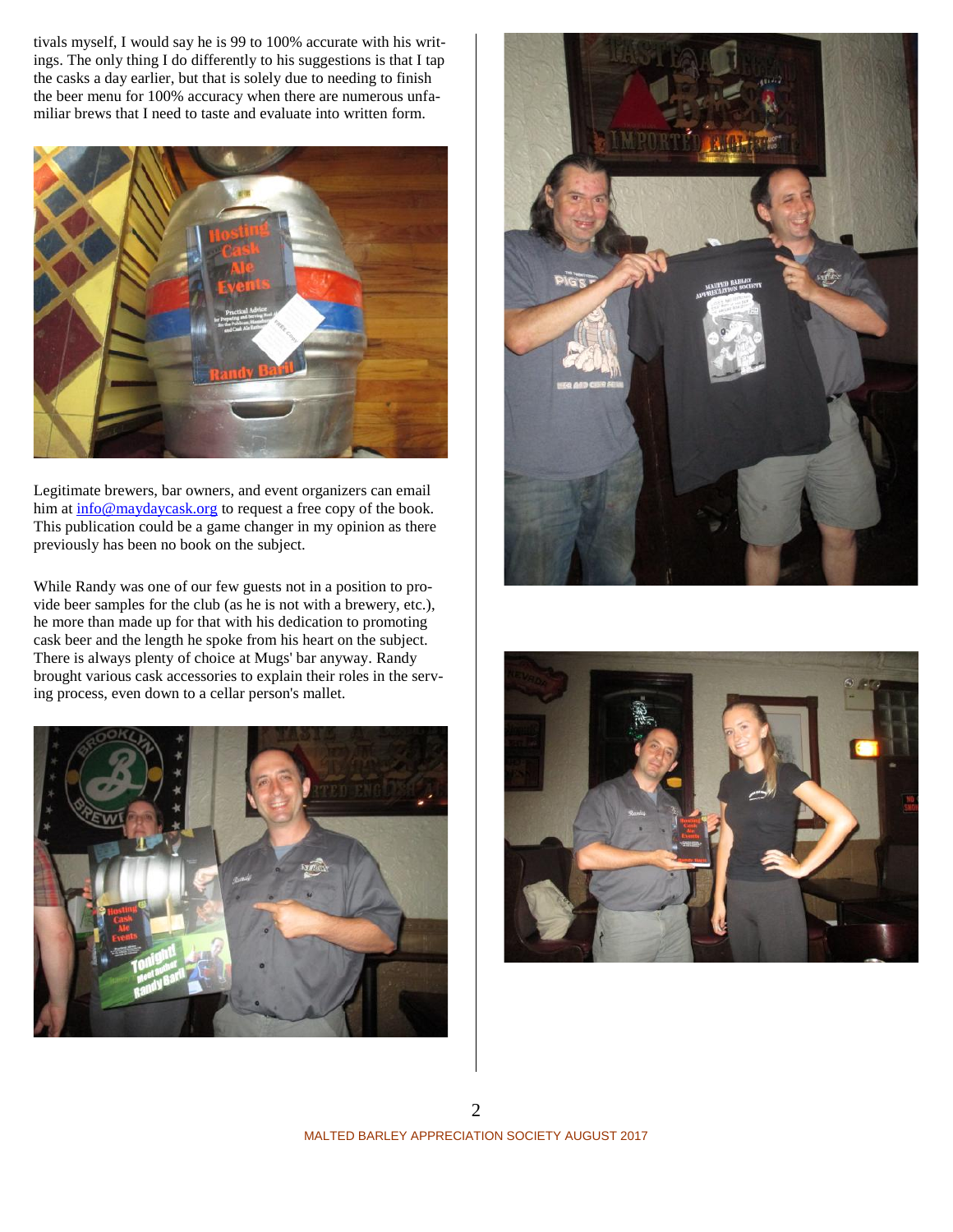tivals myself, I would say he is 99 to 100% accurate with his writings. The only thing I do differently to his suggestions is that I tap the casks a day earlier, but that is solely due to needing to finish the beer menu for 100% accuracy when there are numerous unfamiliar brews that I need to taste and evaluate into written form.



Legitimate brewers, bar owners, and event organizers can email him at  $\frac{info@maydaycash.org}{temp*}$  to request a free copy of the book. This publication could be a game changer in my opinion as there previously has been no book on the subject.

While Randy was one of our few guests not in a position to provide beer samples for the club (as he is not with a brewery, etc.), he more than made up for that with his dedication to promoting cask beer and the length he spoke from his heart on the subject. There is always plenty of choice at Mugs' bar anyway. Randy brought various cask accessories to explain their roles in the serving process, even down to a cellar person's mallet.





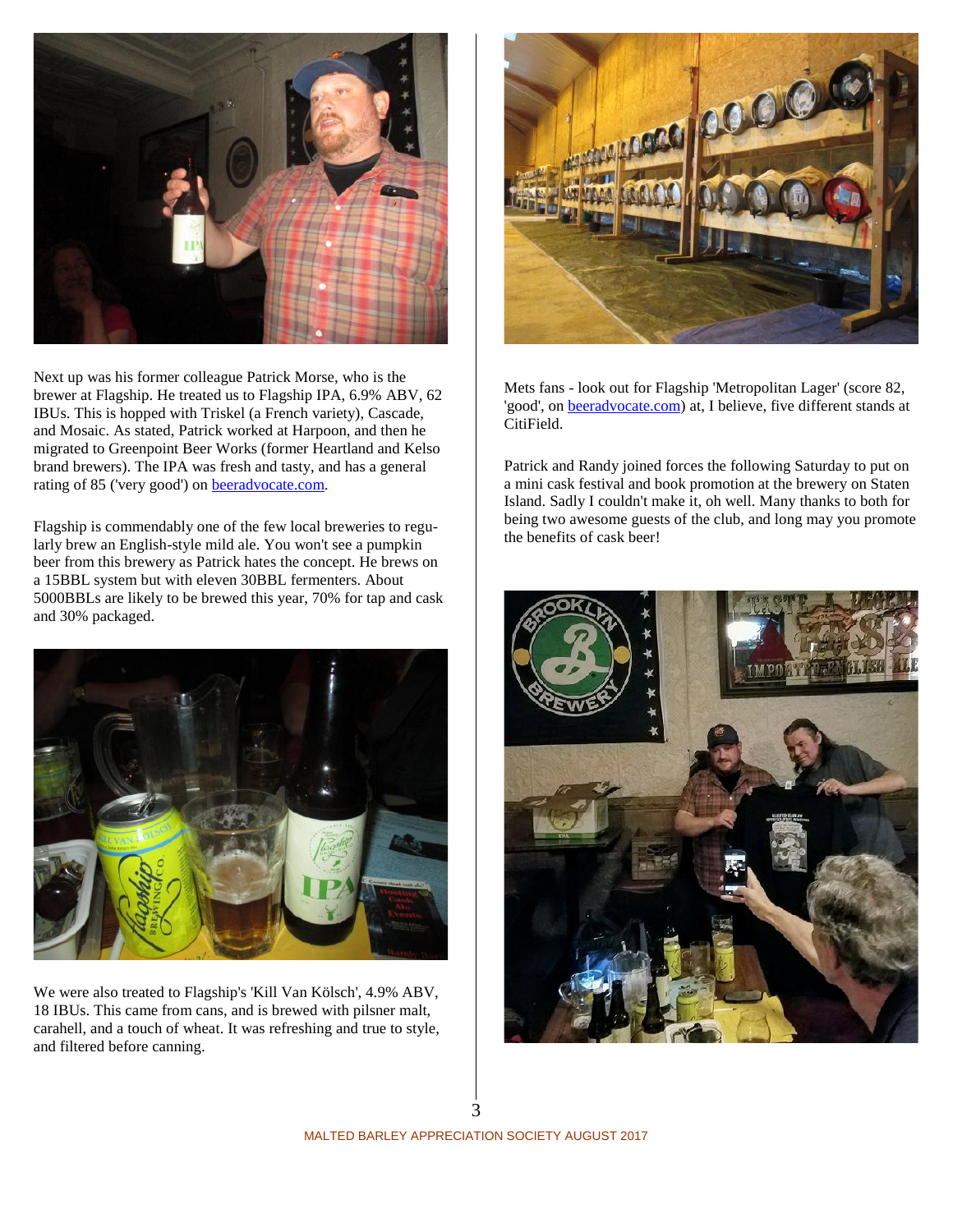

Next up was his former colleague Patrick Morse, who is the brewer at Flagship. He treated us to Flagship IPA, 6.9% ABV, 62 IBUs. This is hopped with Triskel (a French variety), Cascade, and Mosaic. As stated, Patrick worked at Harpoon, and then he migrated to Greenpoint Beer Works (former Heartland and Kelso brand brewers). The IPA was fresh and tasty, and has a general rating of 85 ('very good') on beeradvocate.com.

Flagship is commendably one of the few local breweries to regularly brew an English-style mild ale. You won't see a pumpkin beer from this brewery as Patrick hates the concept. He brews on a 15BBL system but with eleven 30BBL fermenters. About 5000BBLs are likely to be brewed this year, 70% for tap and cask and 30% packaged.



We were also treated to Flagship's 'Kill Van Kölsch', 4.9% ABV, 18 IBUs. This came from cans, and is brewed with pilsner malt, carahell, and a touch of wheat. It was refreshing and true to style, and filtered before canning.



Mets fans - look out for Flagship 'Metropolitan Lager' (score 82, 'good', on beeradvocate.com) at, I believe, five different stands at CitiField.

Patrick and Randy joined forces the following Saturday to put on a mini cask festival and book promotion at the brewery on Staten Island. Sadly I couldn't make it, oh well. Many thanks to both for being two awesome guests of the club, and long may you promote the benefits of cask beer!

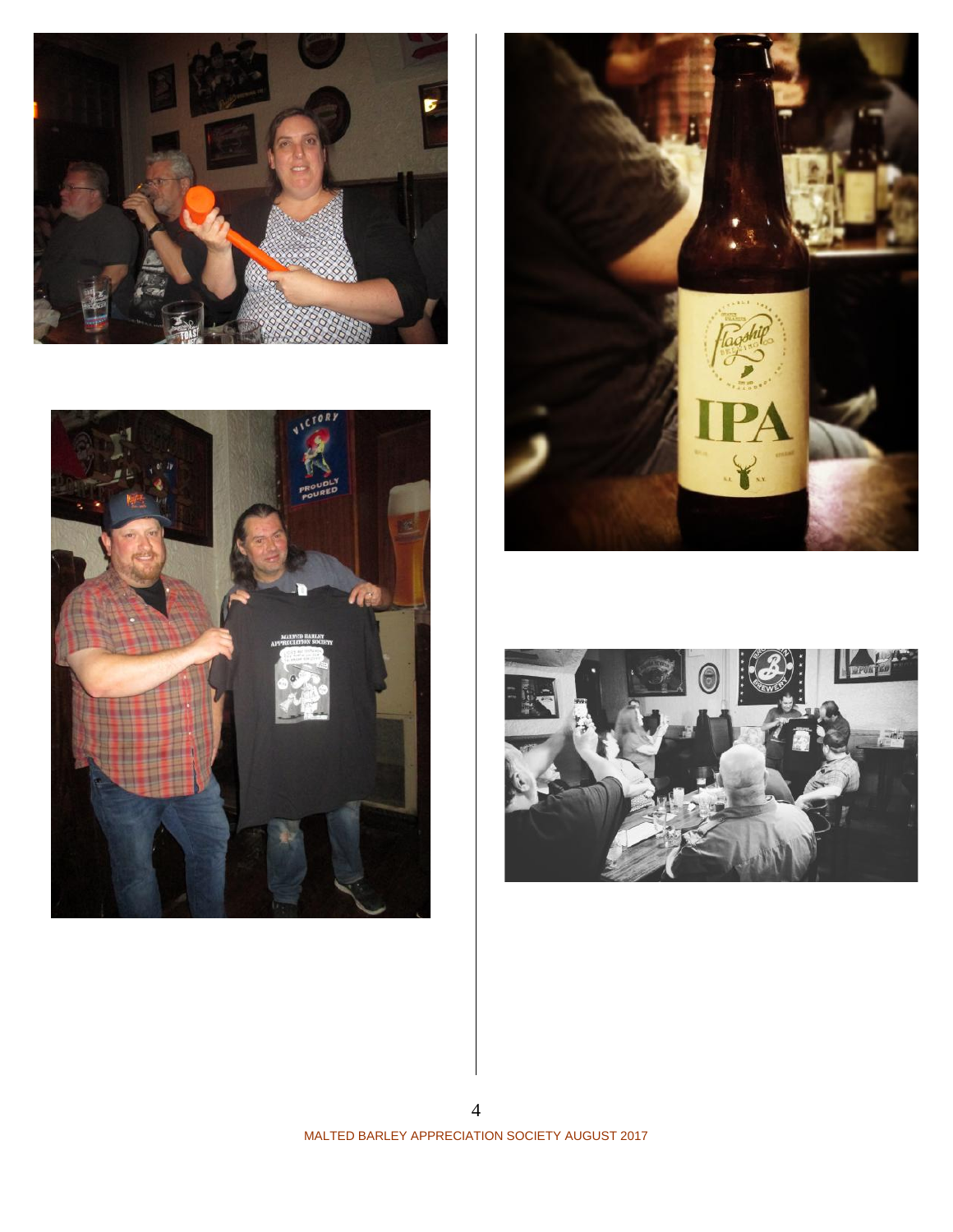







MALTED BARLEY APPRECIATION SOCIETY AUGUST 2017